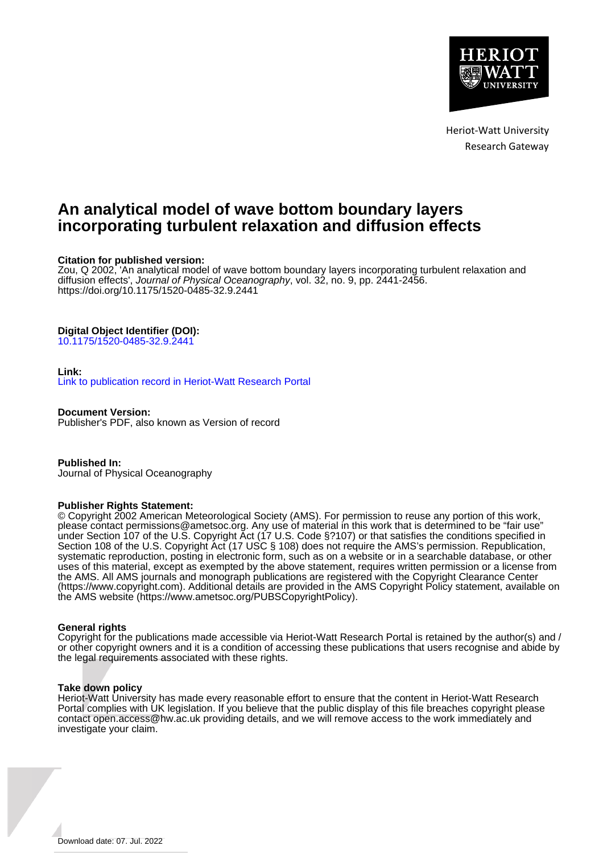

Heriot-Watt University Research Gateway

# **An analytical model of wave bottom boundary layers incorporating turbulent relaxation and diffusion effects**

# **Citation for published version:**

Zou, Q 2002, 'An analytical model of wave bottom boundary layers incorporating turbulent relaxation and diffusion effects', Journal of Physical Oceanography, vol. 32, no. 9, pp. 2441-2456. <https://doi.org/10.1175/1520-0485-32.9.2441>

# **Digital Object Identifier (DOI):**

[10.1175/1520-0485-32.9.2441](https://doi.org/10.1175/1520-0485-32.9.2441)

# **Link:**

[Link to publication record in Heriot-Watt Research Portal](https://researchportal.hw.ac.uk/en/publications/9999e2ab-0d92-40ec-a101-f26176f91b93)

**Document Version:** Publisher's PDF, also known as Version of record

**Published In:** Journal of Physical Oceanography

# **Publisher Rights Statement:**

© Copyright 2002 American Meteorological Society (AMS). For permission to reuse any portion of this work, please contact permissions@ametsoc.org. Any use of material in this work that is determined to be "fair use" under Section 107 of the U.S. Copyright Act (17 U.S. Code §?107) or that satisfies the conditions specified in Section 108 of the U.S. Copyright Act (17 USC § 108) does not require the AMS's permission. Republication, systematic reproduction, posting in electronic form, such as on a website or in a searchable database, or other uses of this material, except as exempted by the above statement, requires written permission or a license from the AMS. All AMS journals and monograph publications are registered with the Copyright Clearance Center (https://www.copyright.com). Additional details are provided in the AMS Copyright Policy statement, available on the AMS website (https://www.ametsoc.org/PUBSCopyrightPolicy).

# **General rights**

Copyright for the publications made accessible via Heriot-Watt Research Portal is retained by the author(s) and / or other copyright owners and it is a condition of accessing these publications that users recognise and abide by the legal requirements associated with these rights.

# **Take down policy**

Heriot-Watt University has made every reasonable effort to ensure that the content in Heriot-Watt Research Portal complies with UK legislation. If you believe that the public display of this file breaches copyright please contact open.access@hw.ac.uk providing details, and we will remove access to the work immediately and investigate your claim.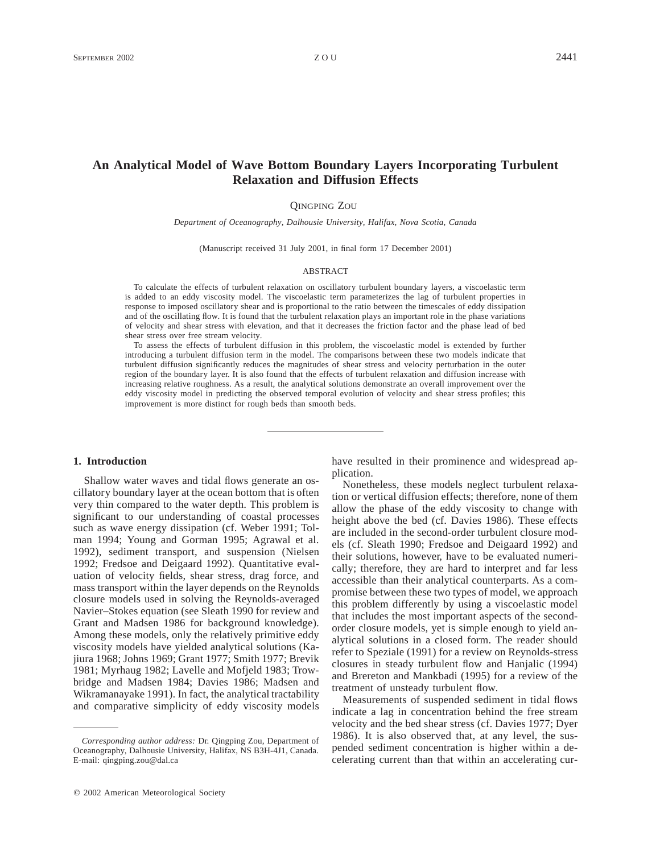# **An Analytical Model of Wave Bottom Boundary Layers Incorporating Turbulent Relaxation and Diffusion Effects**

### QINGPING ZOU

*Department of Oceanography, Dalhousie University, Halifax, Nova Scotia, Canada*

(Manuscript received 31 July 2001, in final form 17 December 2001)

#### ABSTRACT

To calculate the effects of turbulent relaxation on oscillatory turbulent boundary layers, a viscoelastic term is added to an eddy viscosity model. The viscoelastic term parameterizes the lag of turbulent properties in response to imposed oscillatory shear and is proportional to the ratio between the timescales of eddy dissipation and of the oscillating flow. It is found that the turbulent relaxation plays an important role in the phase variations of velocity and shear stress with elevation, and that it decreases the friction factor and the phase lead of bed shear stress over free stream velocity.

To assess the effects of turbulent diffusion in this problem, the viscoelastic model is extended by further introducing a turbulent diffusion term in the model. The comparisons between these two models indicate that turbulent diffusion significantly reduces the magnitudes of shear stress and velocity perturbation in the outer region of the boundary layer. It is also found that the effects of turbulent relaxation and diffusion increase with increasing relative roughness. As a result, the analytical solutions demonstrate an overall improvement over the eddy viscosity model in predicting the observed temporal evolution of velocity and shear stress profiles; this improvement is more distinct for rough beds than smooth beds.

#### **1. Introduction**

Shallow water waves and tidal flows generate an oscillatory boundary layer at the ocean bottom that is often very thin compared to the water depth. This problem is significant to our understanding of coastal processes such as wave energy dissipation (cf. Weber 1991; Tolman 1994; Young and Gorman 1995; Agrawal et al. 1992), sediment transport, and suspension (Nielsen 1992; Fredsoe and Deigaard 1992). Quantitative evaluation of velocity fields, shear stress, drag force, and mass transport within the layer depends on the Reynolds closure models used in solving the Reynolds-averaged Navier–Stokes equation (see Sleath 1990 for review and Grant and Madsen 1986 for background knowledge). Among these models, only the relatively primitive eddy viscosity models have yielded analytical solutions (Kajiura 1968; Johns 1969; Grant 1977; Smith 1977; Brevik 1981; Myrhaug 1982; Lavelle and Mofjeld 1983; Trowbridge and Madsen 1984; Davies 1986; Madsen and Wikramanayake 1991). In fact, the analytical tractability and comparative simplicity of eddy viscosity models have resulted in their prominence and widespread application.

Nonetheless, these models neglect turbulent relaxation or vertical diffusion effects; therefore, none of them allow the phase of the eddy viscosity to change with height above the bed (cf. Davies 1986). These effects are included in the second-order turbulent closure models (cf. Sleath 1990; Fredsoe and Deigaard 1992) and their solutions, however, have to be evaluated numerically; therefore, they are hard to interpret and far less accessible than their analytical counterparts. As a compromise between these two types of model, we approach this problem differently by using a viscoelastic model that includes the most important aspects of the secondorder closure models, yet is simple enough to yield analytical solutions in a closed form. The reader should refer to Speziale (1991) for a review on Reynolds-stress closures in steady turbulent flow and Hanjalic (1994) and Brereton and Mankbadi (1995) for a review of the treatment of unsteady turbulent flow.

Measurements of suspended sediment in tidal flows indicate a lag in concentration behind the free stream velocity and the bed shear stress (cf. Davies 1977; Dyer 1986). It is also observed that, at any level, the suspended sediment concentration is higher within a decelerating current than that within an accelerating cur-

*Corresponding author address:* Dr. Qingping Zou, Department of Oceanography, Dalhousie University, Halifax, NS B3H-4J1, Canada. E-mail: qingping.zou@dal.ca

 $Q$  2002 American Meteorological Society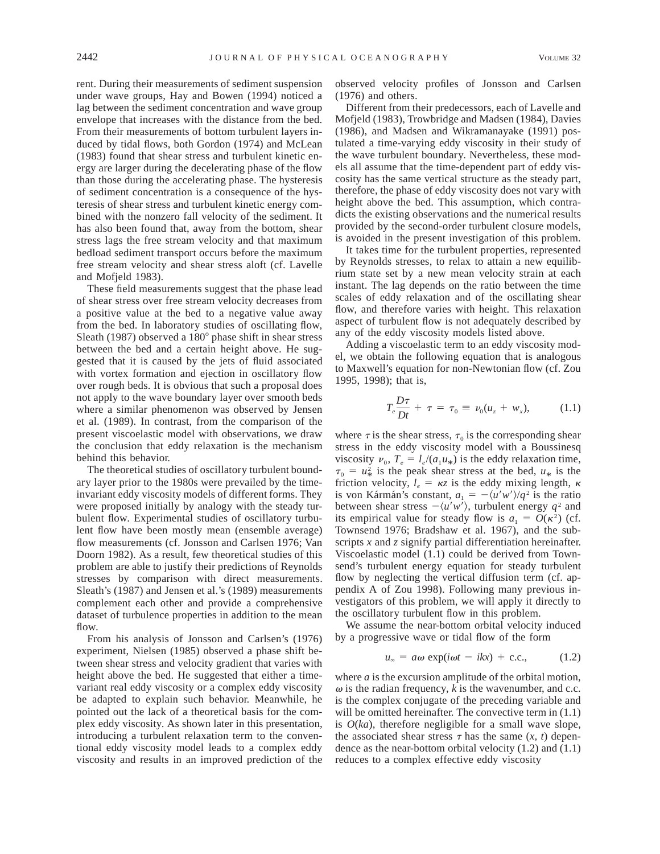rent. During their measurements of sediment suspension under wave groups, Hay and Bowen (1994) noticed a lag between the sediment concentration and wave group envelope that increases with the distance from the bed. From their measurements of bottom turbulent layers induced by tidal flows, both Gordon (1974) and McLean (1983) found that shear stress and turbulent kinetic energy are larger during the decelerating phase of the flow than those during the accelerating phase. The hysteresis of sediment concentration is a consequence of the hysteresis of shear stress and turbulent kinetic energy combined with the nonzero fall velocity of the sediment. It has also been found that, away from the bottom, shear stress lags the free stream velocity and that maximum bedload sediment transport occurs before the maximum free stream velocity and shear stress aloft (cf. Lavelle and Mofjeld 1983).

These field measurements suggest that the phase lead of shear stress over free stream velocity decreases from a positive value at the bed to a negative value away from the bed. In laboratory studies of oscillating flow, Sleath (1987) observed a  $180^\circ$  phase shift in shear stress between the bed and a certain height above. He suggested that it is caused by the jets of fluid associated with vortex formation and ejection in oscillatory flow over rough beds. It is obvious that such a proposal does not apply to the wave boundary layer over smooth beds where a similar phenomenon was observed by Jensen et al. (1989). In contrast, from the comparison of the present viscoelastic model with observations, we draw the conclusion that eddy relaxation is the mechanism behind this behavior.

The theoretical studies of oscillatory turbulent boundary layer prior to the 1980s were prevailed by the timeinvariant eddy viscosity models of different forms. They were proposed initially by analogy with the steady turbulent flow. Experimental studies of oscillatory turbulent flow have been mostly mean (ensemble average) flow measurements (cf. Jonsson and Carlsen 1976; Van Doorn 1982). As a result, few theoretical studies of this problem are able to justify their predictions of Reynolds stresses by comparison with direct measurements. Sleath's (1987) and Jensen et al.'s (1989) measurements complement each other and provide a comprehensive dataset of turbulence properties in addition to the mean flow.

From his analysis of Jonsson and Carlsen's (1976) experiment, Nielsen (1985) observed a phase shift between shear stress and velocity gradient that varies with height above the bed. He suggested that either a timevariant real eddy viscosity or a complex eddy viscosity be adapted to explain such behavior. Meanwhile, he pointed out the lack of a theoretical basis for the complex eddy viscosity. As shown later in this presentation, introducing a turbulent relaxation term to the conventional eddy viscosity model leads to a complex eddy viscosity and results in an improved prediction of the

observed velocity profiles of Jonsson and Carlsen (1976) and others.

Different from their predecessors, each of Lavelle and Mofjeld (1983), Trowbridge and Madsen (1984), Davies (1986), and Madsen and Wikramanayake (1991) postulated a time-varying eddy viscosity in their study of the wave turbulent boundary. Nevertheless, these models all assume that the time-dependent part of eddy viscosity has the same vertical structure as the steady part, therefore, the phase of eddy viscosity does not vary with height above the bed. This assumption, which contradicts the existing observations and the numerical results provided by the second-order turbulent closure models, is avoided in the present investigation of this problem.

It takes time for the turbulent properties, represented by Reynolds stresses, to relax to attain a new equilibrium state set by a new mean velocity strain at each instant. The lag depends on the ratio between the time scales of eddy relaxation and of the oscillating shear flow, and therefore varies with height. This relaxation aspect of turbulent flow is not adequately described by any of the eddy viscosity models listed above.

Adding a viscoelastic term to an eddy viscosity model, we obtain the following equation that is analogous to Maxwell's equation for non-Newtonian flow (cf. Zou 1995, 1998); that is,

$$
T_e \frac{D\tau}{Dt} + \tau = \tau_0 \equiv \nu_0 (u_z + w_x), \quad (1.1)
$$

where  $\tau$  is the shear stress,  $\tau_0$  is the corresponding shear stress in the eddy viscosity model with a Boussinesq viscosity  $\nu_0$ ,  $T_e = l_e/(a_1 u_*)$  is the eddy relaxation time,  $\tau_0 = u_*^2$  is the peak shear stress at the bed,  $u_*$  is the friction velocity,  $l_e = \kappa z$  is the eddy mixing length,  $\kappa$ is von Kármán's constant,  $a_1 = -\langle u'w'\rangle/q^2$  is the ratio between shear stress  $-\langle u'w'\rangle$ , turbulent energy  $q^2$  and its empirical value for steady flow is  $a_1 = O(\kappa^2)$  (cf. Townsend 1976; Bradshaw et al. 1967), and the subscripts *x* and *z* signify partial differentiation hereinafter. Viscoelastic model (1.1) could be derived from Townsend's turbulent energy equation for steady turbulent flow by neglecting the vertical diffusion term (cf. appendix A of Zou 1998). Following many previous investigators of this problem, we will apply it directly to the oscillatory turbulent flow in this problem.

We assume the near-bottom orbital velocity induced by a progressive wave or tidal flow of the form

$$
u_{\infty} = a\omega \exp(i\omega t - ikx) + c.c., \qquad (1.2)
$$

where *a* is the excursion amplitude of the orbital motion,  $\omega$  is the radian frequency,  $k$  is the wavenumber, and c.c. is the complex conjugate of the preceding variable and will be omitted hereinafter. The convective term in  $(1.1)$ is  $O(ka)$ , therefore negligible for a small wave slope, the associated shear stress  $\tau$  has the same  $(x, t)$  dependence as the near-bottom orbital velocity (1.2) and (1.1) reduces to a complex effective eddy viscosity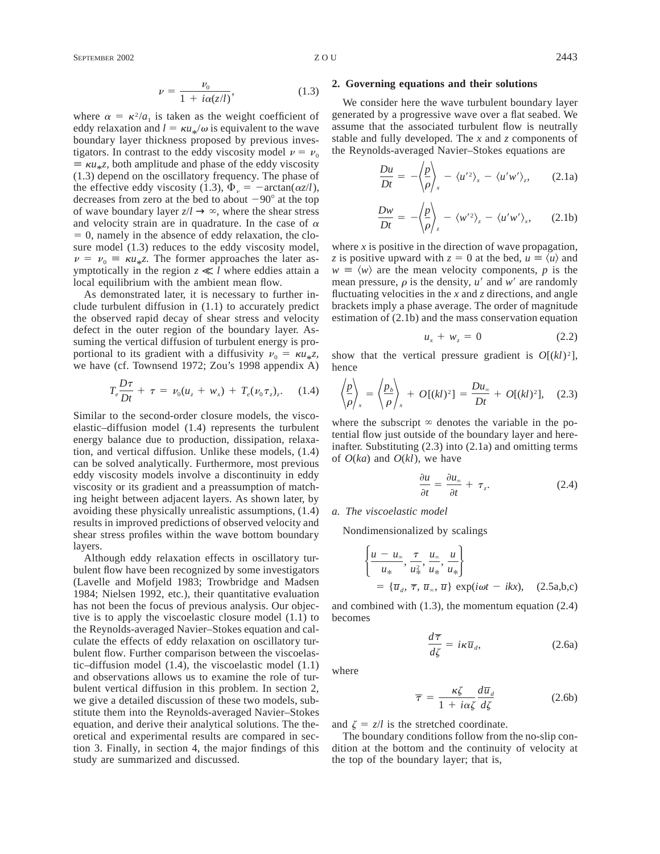$$
\nu = \frac{\nu_0}{1 + i\alpha(z/l)},\tag{1.3}
$$

where  $\alpha = \kappa^2/a_1$  is taken as the weight coefficient of eddy relaxation and  $l = \kappa u_*/\omega$  is equivalent to the wave boundary layer thickness proposed by previous investigators. In contrast to the eddy viscosity model  $\nu = \nu_0$  $\equiv \kappa u_* z$ , both amplitude and phase of the eddy viscosity (1.3) depend on the oscillatory frequency. The phase of the effective eddy viscosity (1.3),  $\Phi_{\nu} = -\arctan(\alpha z/l)$ , decreases from zero at the bed to about  $-90^\circ$  at the top of wave boundary layer  $z/l \rightarrow \infty$ , where the shear stress and velocity strain are in quadrature. In the case of  $\alpha$  $= 0$ , namely in the absence of eddy relaxation, the closure model (1.3) reduces to the eddy viscosity model,  $\nu = \nu_0 \equiv \kappa u_{*}$ . The former approaches the later asymptotically in the region  $z \ll l$  where eddies attain a local equilibrium with the ambient mean flow.

As demonstrated later, it is necessary to further include turbulent diffusion in (1.1) to accurately predict the observed rapid decay of shear stress and velocity defect in the outer region of the boundary layer. Assuming the vertical diffusion of turbulent energy is proportional to its gradient with a diffusivity  $v_0 = \kappa u_{\ast} z$ , we have (cf. Townsend 1972; Zou's 1998 appendix A)

$$
T_e \frac{D\tau}{Dt} + \tau = \nu_0 (u_z + w_x) + T_e (\nu_0 \tau_z)_z. \quad (1.4)
$$

Similar to the second-order closure models, the viscoelastic–diffusion model (1.4) represents the turbulent energy balance due to production, dissipation, relaxation, and vertical diffusion. Unlike these models, (1.4) can be solved analytically. Furthermore, most previous eddy viscosity models involve a discontinuity in eddy viscosity or its gradient and a preassumption of matching height between adjacent layers. As shown later, by avoiding these physically unrealistic assumptions, (1.4) results in improved predictions of observed velocity and shear stress profiles within the wave bottom boundary layers.

Although eddy relaxation effects in oscillatory turbulent flow have been recognized by some investigators (Lavelle and Mofjeld 1983; Trowbridge and Madsen 1984; Nielsen 1992, etc.), their quantitative evaluation has not been the focus of previous analysis. Our objective is to apply the viscoelastic closure model (1.1) to the Reynolds-averaged Navier–Stokes equation and calculate the effects of eddy relaxation on oscillatory turbulent flow. Further comparison between the viscoelastic–diffusion model (1.4), the viscoelastic model (1.1) and observations allows us to examine the role of turbulent vertical diffusion in this problem. In section 2, we give a detailed discussion of these two models, substitute them into the Reynolds-averaged Navier–Stokes equation, and derive their analytical solutions. The theoretical and experimental results are compared in section 3. Finally, in section 4, the major findings of this study are summarized and discussed.

#### **2. Governing equations and their solutions**

We consider here the wave turbulent boundary layer generated by a progressive wave over a flat seabed. We assume that the associated turbulent flow is neutrally stable and fully developed. The *x* and *z* components of the Reynolds-averaged Navier–Stokes equations are

$$
\frac{Du}{Dt} = -\left\langle \frac{p}{\rho} \right\rangle_{x} - \left\langle u'^{2} \right\rangle_{x} - \left\langle u'w' \right\rangle_{z}, \qquad (2.1a)
$$

$$
\frac{Dw}{Dt} = -\left\langle \frac{p}{\rho} \right\rangle_z - \left\langle w'^2 \right\rangle_z - \left\langle u'w' \right\rangle_x, \qquad (2.1b)
$$

where *x* is positive in the direction of wave propagation, *z* is positive upward with  $z = 0$  at the bed,  $u \equiv \langle u \rangle$  and  $w \equiv \langle w \rangle$  are the mean velocity components, *p* is the mean pressure,  $\rho$  is the density,  $u'$  and  $w'$  are randomly fluctuating velocities in the *x* and *z* directions, and angle brackets imply a phase average. The order of magnitude estimation of (2.1b) and the mass conservation equation

$$
u_x + w_z = 0 \tag{2.2}
$$

show that the vertical pressure gradient is  $O[(kl)^2]$ , hence

$$
\left\langle \frac{p}{\rho} \right\rangle_{x} = \left\langle \frac{p_b}{\rho} \right\rangle_{x} + O[(kl)^2] = \frac{Du_{\infty}}{Dt} + O[(kl)^2], \quad (2.3)
$$

where the subscript  $\infty$  denotes the variable in the potential flow just outside of the boundary layer and hereinafter. Substituting (2.3) into (2.1a) and omitting terms of  $O(ka)$  and  $O(kl)$ , we have

$$
\frac{\partial u}{\partial t} = \frac{\partial u_{\infty}}{\partial t} + \tau_z.
$$
 (2.4)

#### *a. The viscoelastic model*

Nondimensionalized by scalings

$$
\begin{cases}\n\frac{u - u_{\infty}}{u_{\infty}}, \frac{\tau}{u_{\infty}^2}, \frac{u_{\infty}}{u_{\infty}}, \frac{u}{u_{\infty}}\n\end{cases}
$$
\n
$$
= {\overline{u}_d, \overline{\tau}, \overline{u}_{\infty}, \overline{u} \text{ } \exp(i\omega t - ikx), \quad (2.5a,b,c)}
$$

and combined with (1.3), the momentum equation (2.4) becomes

$$
\frac{d\overline{\tau}}{d\zeta} = i\kappa \overline{u}_d, \qquad (2.6a)
$$

where

$$
\overline{\tau} = \frac{\kappa \zeta}{1 + i\alpha \zeta} \frac{d\overline{u}_d}{d\zeta}
$$
 (2.6b)

and  $\zeta = z/l$  is the stretched coordinate.

The boundary conditions follow from the no-slip condition at the bottom and the continuity of velocity at the top of the boundary layer; that is,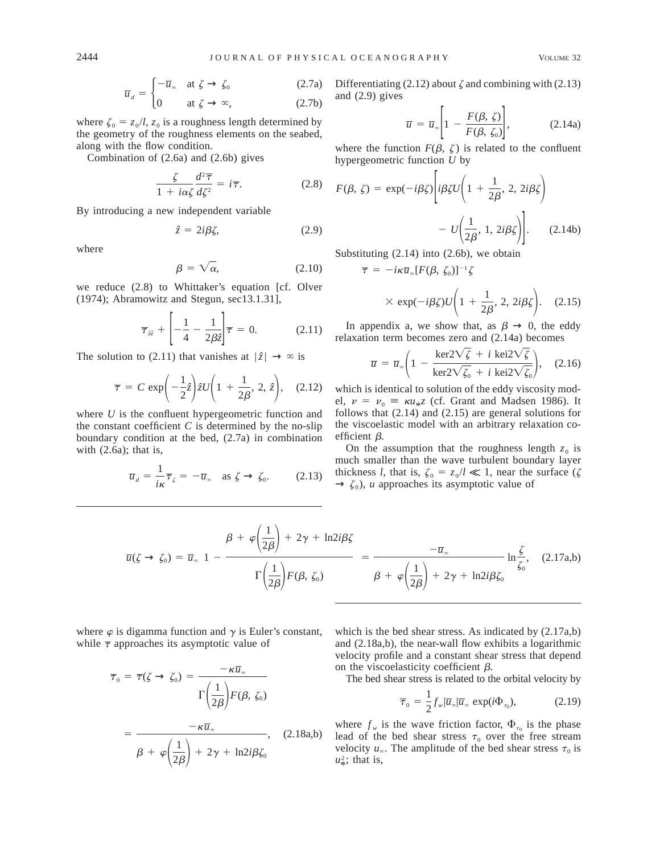$$
\overline{u}_d = \begin{cases}\n-\overline{u}_\infty & \text{at } \zeta \to \zeta_0 \\
0 & \text{at } \zeta \to \infty,\n\end{cases}
$$
\n(2.7a)

where  $\zeta_0 = z_0/l$ ,  $z_0$  is a roughness length determined by

the geometry of the roughness elements on the seabed, along with the flow condition.

Combination of (2.6a) and (2.6b) gives

$$
\frac{\zeta}{1 + i\alpha\zeta} \frac{d^2 \overline{\tau}}{d\zeta^2} = i\overline{\tau}.
$$
 (2.8)

By introducing a new independent variable

$$
\hat{z} = 2i\beta\zeta,\tag{2.9}
$$

where

$$
\beta = \sqrt{\alpha}, \qquad (2.10)
$$

we reduce (2.8) to Whittaker's equation [cf. Olver (1974); Abramowitz and Stegun, sec13.1.31],

$$
\overline{\tau}_{zz} + \left[ -\frac{1}{4} - \frac{1}{2\beta \hat{z}} \right] \overline{\tau} = 0. \qquad (2.11)
$$

The solution to (2.11) that vanishes at  $|\hat{z}| \to \infty$  is

$$
\overline{\tau} = C \exp\left(-\frac{1}{2}\hat{z}\right) \hat{z} U\left(1 + \frac{1}{2\beta}, 2, \hat{z}\right), \quad (2.12)
$$

where *U* is the confluent hypergeometric function and the constant coefficient  $C$  is determined by the no-slip boundary condition at the bed, (2.7a) in combination with (2.6a); that is,

$$
\overline{u}_d = \frac{1}{i\kappa} \overline{\tau}_{\zeta} = -\overline{u}_{\infty} \quad \text{as } \zeta \to \zeta_0. \tag{2.13}
$$

Differentiating (2.12) about  $\zeta$  and combining with (2.13) and (2.9) gives

$$
\overline{u} = \overline{u}_{\infty} \left[ 1 - \frac{F(\beta, \zeta)}{F(\beta, \zeta_0)} \right],
$$
 (2.14a)

where the function  $F(\beta, \zeta)$  is related to the confluent hypergeometric function *U* by

$$
F(\beta, \zeta) = \exp(-i\beta \zeta) \left[ i\beta \zeta U \left( 1 + \frac{1}{2\beta}, 2, 2i\beta \zeta \right) - U \left( \frac{1}{2\beta}, 1, 2i\beta \zeta \right) \right].
$$
 (2.14b)

Substituting (2.14) into (2.6b), we obtain

 $\overline{\tau} = -i\kappa\overline{u}_m[F(\beta, \zeta_0)]^{-1}\zeta$ 

$$
\times \exp(-i\beta \zeta)U\left(1+\frac{1}{2\beta}, 2, 2i\beta \zeta\right).
$$
 (2.15)

In appendix a, we show that, as  $\beta \to 0$ , the eddy relaxation term becomes zero and (2.14a) becomes

$$
\overline{u} = \overline{u}_{\infty} \bigg( 1 - \frac{\text{ker2} \sqrt{\zeta} + i \text{ kei2} \sqrt{\zeta}}{\text{ker2} \sqrt{\zeta_0} + i \text{ kei2} \sqrt{\zeta_0}} \bigg), \quad (2.16)
$$

which is identical to solution of the eddy viscosity model,  $\nu = \nu_0 = \kappa u_{*z}$  (cf. Grant and Madsen 1986). It follows that (2.14) and (2.15) are general solutions for the viscoelastic model with an arbitrary relaxation coefficient  $\beta$ .

On the assumption that the roughness length  $z_0$  is much smaller than the wave turbulent boundary layer thickness *l*, that is,  $\zeta_0 = z_0/l \ll 1$ , near the surface ( $\zeta$  $\rightarrow \zeta_0$ , *u* approaches its asymptotic value of

$$
\overline{u}(\zeta \to \zeta_0) = \overline{u}_\infty \left\{ 1 - \frac{\beta + \varphi\left(\frac{1}{2\beta}\right) + 2\gamma + \ln 2i\beta\zeta}{\Gamma\left(\frac{1}{2\beta}\right)F(\beta, \zeta_0)} \right\} = \frac{-\overline{u}_\infty}{\beta + \varphi\left(\frac{1}{2\beta}\right) + 2\gamma + \ln 2i\beta\zeta_0} \ln \frac{\zeta}{\zeta_0}, \quad (2.17a,b)
$$

where  $\varphi$  is digamma function and  $\gamma$  is Euler's constant, while  $\bar{\tau}$  approaches its asymptotic value of

$$
\overline{\tau}_0 = \overline{\tau}(\zeta \to \zeta_0) = \frac{-\kappa \overline{u}_\infty}{\Gamma\left(\frac{1}{2\beta}\right) F(\beta, \zeta_0)}
$$

$$
= \frac{-\kappa \overline{u}_\infty}{\beta + \varphi\left(\frac{1}{2\beta}\right) + 2\gamma + \ln 2i\beta \zeta_0}, \quad (2.18a,b)
$$

which is the bed shear stress. As indicated by  $(2.17a,b)$ and (2.18a,b), the near-wall flow exhibits a logarithmic velocity profile and a constant shear stress that depend on the viscoelasticity coefficient  $\beta$ .

The bed shear stress is related to the orbital velocity by

$$
\overline{\tau}_0 = \frac{1}{2} f_w | \overline{u}_\infty | \overline{u}_\infty \exp(i\Phi_{\tau_0}), \qquad (2.19)
$$

where  $f_w$  is the wave friction factor,  $\Phi_{\tau_0}$  is the phase lead of the bed shear stress  $\tau_0$  over the free stream velocity  $u_\infty$ . The amplitude of the bed shear stress  $\tau_0$  is  $u^2$ ; that is,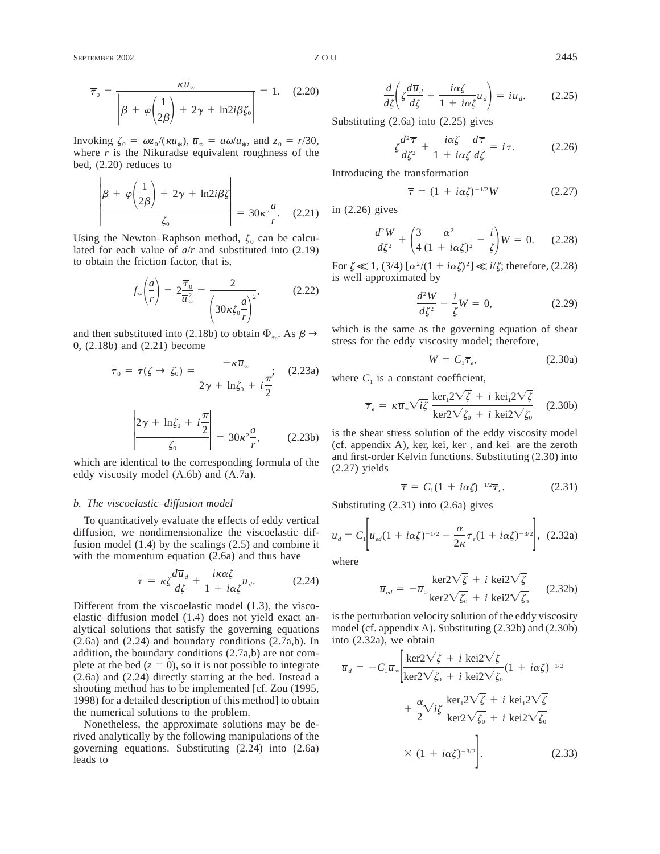SEPTEMBER 2002 2445

$$
\overline{\tau}_0 = \frac{\kappa \overline{u}_\infty}{\left|\beta + \varphi\left(\frac{1}{2\beta}\right) + 2\gamma + \ln 2i\beta \zeta_0\right|} = 1. \quad (2.20)
$$

Invoking  $\zeta_0 = \omega z_0/(\kappa u_*)$ ,  $\overline{u}_\infty = a\omega/u_*$ , and  $z_0 = r/30$ , where  $r$  is the Nikuradse equivalent roughness of the bed, (2.20) reduces to

$$
\left|\beta + \varphi\left(\frac{1}{2\beta}\right) + 2\gamma + \ln 2i\beta\zeta\right| = 30\kappa^2 \frac{a}{r}.
$$
 (2.21)

Using the Newton–Raphson method,  $\zeta_0$  can be calculated for each value of *a*/*r* and substituted into (2.19) to obtain the friction factor, that is,

$$
f_w\left(\frac{a}{r}\right) = 2\frac{\overline{\tau}_0}{\overline{u}_\infty^2} = \frac{2}{\left(30\kappa\zeta_0\frac{a}{r}\right)^2},\tag{2.22}
$$

and then substituted into (2.18b) to obtain  $\Phi_{\tau_0}$ . As  $\beta \to$ 0, (2.18b) and (2.21) become

$$
\overline{\tau}_0 = \overline{\tau}(\zeta \to \zeta_0) = \frac{-\kappa \overline{u}_\infty}{2\gamma + \ln \zeta_0 + i\frac{\pi}{2}}; \quad (2.23a)
$$

$$
\left| \frac{2\gamma + \ln \zeta_0 + i\frac{\pi}{2}}{\zeta_0} \right| = 30\kappa^2 \frac{a}{r}, \qquad (2.23b)
$$

which are identical to the corresponding formula of the eddy viscosity model (A.6b) and (A.7a).

#### *b. The viscoelastic–diffusion model*

To quantitatively evaluate the effects of eddy vertical diffusion, we nondimensionalize the viscoelastic–diffusion model (1.4) by the scalings (2.5) and combine it with the momentum equation (2.6a) and thus have

$$
\overline{\tau} = \kappa \zeta \frac{d\overline{u}_d}{d\zeta} + \frac{i\kappa \alpha \zeta}{1 + i\alpha \zeta} \overline{u}_d. \tag{2.24}
$$

Different from the viscoelastic model (1.3), the viscoelastic–diffusion model (1.4) does not yield exact analytical solutions that satisfy the governing equations  $(2.6a)$  and  $(2.24)$  and boundary conditions  $(2.7a,b)$ . In addition, the boundary conditions (2.7a,b) are not complete at the bed  $(z = 0)$ , so it is not possible to integrate (2.6a) and (2.24) directly starting at the bed. Instead a shooting method has to be implemented [cf. Zou (1995, 1998) for a detailed description of this method] to obtain the numerical solutions to the problem.

Nonetheless, the approximate solutions may be derived analytically by the following manipulations of the governing equations. Substituting (2.24) into (2.6a) leads to

$$
\frac{d}{d\zeta} \left( \zeta \frac{d\overline{u}_d}{d\zeta} + \frac{i\alpha\zeta}{1 + i\alpha\zeta} \overline{u}_d \right) = i\overline{u}_d. \tag{2.25}
$$

Substituting (2.6a) into (2.25) gives

$$
\zeta \frac{d^2 \overline{\tau}}{d\zeta^2} + \frac{i\alpha \zeta}{1 + i\alpha \zeta} \frac{d\overline{\tau}}{d\zeta} = i\overline{\tau}.
$$
 (2.26)

Introducing the transformation

$$
\overline{\tau} = (1 + i\alpha \zeta)^{-1/2} W \qquad (2.27)
$$

in (2.26) gives

$$
\frac{d^2W}{d\zeta^2} + \left(\frac{3}{4}\frac{\alpha^2}{(1+i\alpha\zeta)^2} - \frac{i}{\zeta}\right)W = 0.
$$
 (2.28)

For  $\zeta \ll 1$ , (3/4)  $\left[\alpha^2/(1 + i\alpha\zeta)^2\right] \ll i/\zeta$ ; therefore, (2.28) is well approximated by

$$
\frac{d^2W}{d\zeta^2} - \frac{i}{\zeta}W = 0, \qquad (2.29)
$$

which is the same as the governing equation of shear stress for the eddy viscosity model; therefore,

$$
W = C_1 \overline{\tau}_e, \tag{2.30a}
$$

where  $C_1$  is a constant coefficient,

$$
\overline{\tau}_e = \kappa \overline{u}_\infty \sqrt{i\zeta} \frac{\ker_1 2\sqrt{\zeta} + i \ker_1 2\sqrt{\zeta}}{\ker_2 2\sqrt{\zeta_0} + i \ker_2 2\sqrt{\zeta_0}} \quad (2.30b)
$$

is the shear stress solution of the eddy viscosity model (cf. appendix A), ker, kei, ker<sub>1</sub>, and kei<sub>1</sub> are the zeroth and first-order Kelvin functions. Substituting (2.30) into (2.27) yields

$$
\overline{\tau} = C_1 (1 + i\alpha \zeta)^{-1/2} \overline{\tau}_e. \tag{2.31}
$$

Substituting (2.31) into (2.6a) gives

$$
\overline{u}_d = C_1 \bigg[ \overline{u}_{ed} (1 + i \alpha \zeta)^{-1/2} - \frac{\alpha}{2 \kappa} \overline{\tau}_e (1 + i \alpha \zeta)^{-3/2} \bigg], \quad (2.32a)
$$

where

$$
\overline{u}_{ed} = -\overline{u}_{\infty} \frac{\text{ker2}\sqrt{\zeta} + i \text{ kei2}\sqrt{\zeta}}{\text{ker2}\sqrt{\zeta_0} + i \text{ kei2}\sqrt{\zeta_0}} \qquad (2.32b)
$$

is the perturbation velocity solution of the eddy viscosity model (cf. appendix A). Substituting (2.32b) and (2.30b) into (2.32a), we obtain

$$
\overline{u}_d = -C_1 \overline{u}_\infty \left[ \frac{\ker 2\sqrt{\zeta} + i \ker 2\sqrt{\zeta}}{\ker 2\sqrt{\zeta_0} + i \ker 2\sqrt{\zeta_0}} (1 + i\alpha \zeta)^{-1/2} + \frac{\alpha}{2} \sqrt{i\zeta} \frac{\ker_1 2\sqrt{\zeta} + i \ker 2\sqrt{\zeta}}{\ker 2\sqrt{\zeta_0} + i \ker 2\sqrt{\zeta_0}} \right. \times (1 + i\alpha \zeta)^{-3/2} \bigg].
$$
\n(2.33)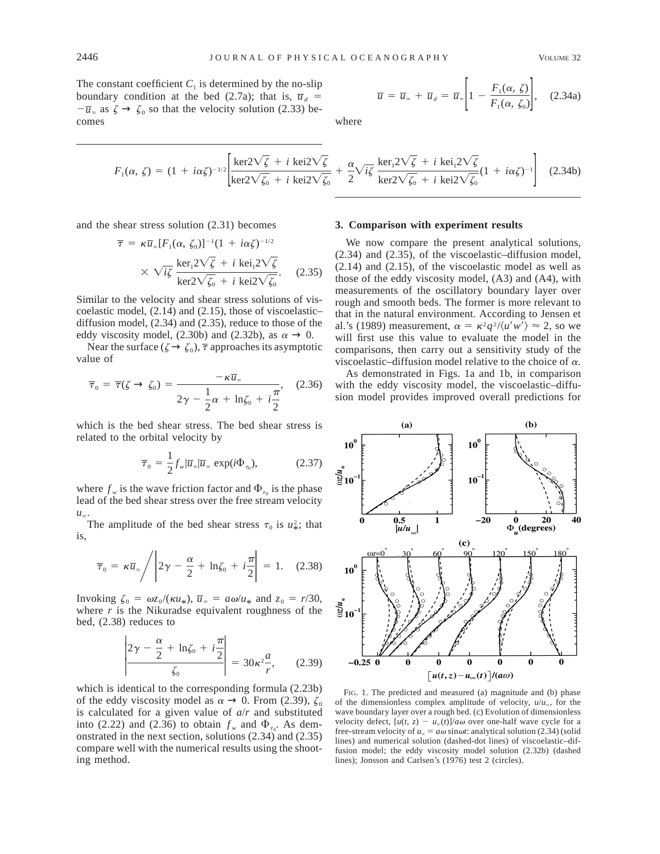The constant coefficient  $C_1$  is determined by the no-slip boundary condition at the bed (2.7a); that is,  $\overline{u}_d$  =  $-\overline{u}_{\infty}$  as  $\zeta \to \zeta_0$  so that the velocity solution (2.33) becomes

$$
\overline{u} = \overline{u}_{\infty} + \overline{u}_d = \overline{u}_{\infty} \left[ 1 - \frac{F_1(\alpha, \zeta)}{F_1(\alpha, \zeta_0)} \right], \quad (2.34a)
$$

where

$$
F_1(\alpha, \zeta) = (1 + i\alpha \zeta)^{-1/2} \left[ \frac{\ker 2\sqrt{\zeta} + i \ker 2\sqrt{\zeta}}{\ker 2\sqrt{\zeta_0} + i \ker 2\sqrt{\zeta_0}} + \frac{\alpha}{2} \sqrt{i\zeta} \frac{\ker_1 2\sqrt{\zeta} + i \ker 2\sqrt{\zeta}}{\ker 2\sqrt{\zeta_0} + i \ker 2\sqrt{\zeta_0}} (1 + i\alpha \zeta)^{-1} \right] \tag{2.34b}
$$

and the shear stress solution (2.31) becomes

$$
\overline{\tau} = \kappa \overline{u}_{\infty} [F_1(\alpha, \zeta_0)]^{-1} (1 + i\alpha \zeta)^{-1/2}
$$

$$
\times \sqrt{i\zeta} \frac{\ker_1 2\sqrt{\zeta} + i \ker_1 2\sqrt{\zeta}}{\ker_2 2\sqrt{\zeta_0} + i \ker_2 2\sqrt{\zeta_0}}.
$$
(2.35)

Similar to the velocity and shear stress solutions of viscoelastic model, (2.14) and (2.15), those of viscoelastic– diffusion model, (2.34) and (2.35), reduce to those of the eddy viscosity model, (2.30b) and (2.32b), as  $\alpha \rightarrow 0$ .

Near the surface ( $\zeta \rightarrow \zeta_0$ ),  $\overline{\tau}$  approaches its asymptotic value of

$$
\overline{\tau}_0 = \overline{\tau}(\zeta \to \zeta_0) = \frac{-\kappa \overline{u}_\infty}{2\gamma - \frac{1}{2}\alpha + \ln \zeta_0 + i\frac{\pi}{2}}, \quad (2.36)
$$

which is the bed shear stress. The bed shear stress is related to the orbital velocity by

$$
\overline{\tau}_0 = \frac{1}{2} f_w | \overline{u}_\infty | \overline{u}_\infty \exp(i\Phi_{\tau_0}), \qquad (2.37)
$$

where  $f_w$  is the wave friction factor and  $\Phi_{\tau_0}$  is the phase lead of the bed shear stress over the free stream velocity  $u_{\infty}$ .

The amplitude of the bed shear stress  $\tau_0$  is  $u^2_*$ ; that is,

$$
\overline{\tau}_0 = \kappa \overline{u}_{\infty} / \left| 2\gamma - \frac{\alpha}{2} + \ln \zeta_0 + i \frac{\pi}{2} \right| = 1. \quad (2.38)
$$

Invoking  $\zeta_0 = \omega z_0/(\kappa u_*)$ ,  $\overline{u}_\infty = a\omega/u_*$  and  $z_0 = r/30$ , where  $r$  is the Nikuradse equivalent roughness of the bed, (2.38) reduces to

$$
\left| \frac{2\gamma - \frac{\alpha}{2} + \ln \zeta_0 + i \frac{\pi}{2}}{\zeta_0} \right| = 30\kappa^2 \frac{a}{r}, \qquad (2.39)
$$

which is identical to the corresponding formula (2.23b) of the eddy viscosity model as  $\alpha \rightarrow 0$ . From (2.39),  $\zeta_0$ is calculated for a given value of *a*/*r* and substituted into (2.22) and (2.36) to obtain  $f_w$  and  $\Phi_{\tau_0}$ . As demonstrated in the next section, solutions (2.34) and (2.35) compare well with the numerical results using the shooting method.

#### **3. Comparison with experiment results**

We now compare the present analytical solutions, (2.34) and (2.35), of the viscoelastic–diffusion model, (2.14) and (2.15), of the viscoelastic model as well as those of the eddy viscosity model, (A3) and (A4), with measurements of the oscillatory boundary layer over rough and smooth beds. The former is more relevant to that in the natural environment. According to Jensen et al.'s (1989) measurement,  $\alpha = \kappa^2 q^2 / \langle u'w' \rangle \approx 2$ , so we will first use this value to evaluate the model in the comparisons, then carry out a sensitivity study of the viscoelastic–diffusion model relative to the choice of <sup>a</sup>*.*

As demonstrated in Figs. 1a and 1b, in comparison with the eddy viscosity model, the viscoelastic–diffusion model provides improved overall predictions for



FIG. 1. The predicted and measured (a) magnitude and (b) phase of the dimensionless complex amplitude of velocity,  $u/u_{\infty}$ , for the wave boundary layer over a rough bed. (c) Evolution of dimensionless velocity defect,  $[u(t, z) - u_x(t)]/a\omega$  over one-half wave cycle for a free-stream velocity of  $u_{\infty} = a\omega \sin \omega t$ : analytical solution (2.34) (solid lines) and numerical solution (dashed-dot lines) of viscoelastic–diffusion model; the eddy viscosity model solution (2.32b) (dashed lines); Jonsson and Carlsen's (1976) test 2 (circles).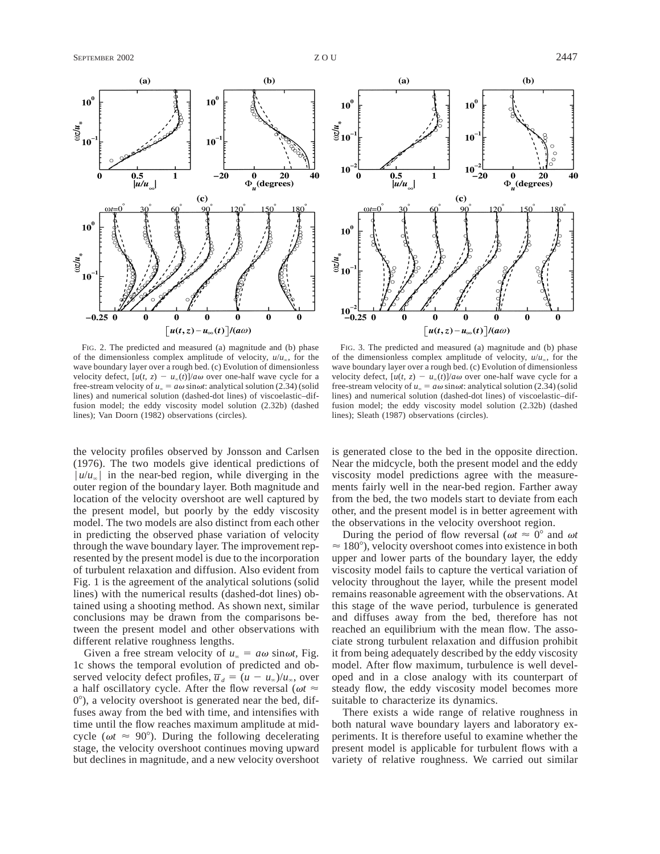

FIG. 2. The predicted and measured (a) magnitude and (b) phase of the dimensionless complex amplitude of velocity,  $u/u_{\infty}$ , for the wave boundary layer over a rough bed. (c) Evolution of dimensionless velocity defect,  $[u(t, z) - u_\infty(t)]/a\omega$  over one-half wave cycle for a free-stream velocity of  $u_\infty = a\omega \sin \omega t$ : analytical solution (2.34) (solid lines) and numerical solution (dashed-dot lines) of viscoelastic–diffusion model; the eddy viscosity model solution (2.32b) (dashed lines); Van Doorn (1982) observations (circles).

the velocity profiles observed by Jonsson and Carlsen (1976). The two models give identical predictions of  $|u/u_{\infty}|$  in the near-bed region, while diverging in the outer region of the boundary layer. Both magnitude and location of the velocity overshoot are well captured by the present model, but poorly by the eddy viscosity model. The two models are also distinct from each other in predicting the observed phase variation of velocity through the wave boundary layer. The improvement represented by the present model is due to the incorporation of turbulent relaxation and diffusion. Also evident from Fig. 1 is the agreement of the analytical solutions (solid lines) with the numerical results (dashed-dot lines) obtained using a shooting method. As shown next, similar conclusions may be drawn from the comparisons between the present model and other observations with different relative roughness lengths.

Given a free stream velocity of  $u_\infty = a\omega \sin \omega t$ , Fig. 1c shows the temporal evolution of predicted and observed velocity defect profiles,  $\overline{u}_d = (u - u_\infty)/u_\infty$ , over a half oscillatory cycle. After the flow reversal ( $\omega t \approx$  $0^{\circ}$ ), a velocity overshoot is generated near the bed, diffuses away from the bed with time, and intensifies with time until the flow reaches maximum amplitude at midcycle ( $\omega t \approx 90^{\circ}$ ). During the following decelerating stage, the velocity overshoot continues moving upward but declines in magnitude, and a new velocity overshoot



FIG. 3. The predicted and measured (a) magnitude and (b) phase of the dimensionless complex amplitude of velocity,  $u/u_{\infty}$ , for the wave boundary layer over a rough bed. (c) Evolution of dimensionless velocity defect,  $[u(t, z) - u_x(t)]/a\omega$  over one-half wave cycle for a free-stream velocity of  $u_\infty = a\omega \sin \omega t$ : analytical solution (2.34) (solid lines) and numerical solution (dashed-dot lines) of viscoelastic–diffusion model; the eddy viscosity model solution (2.32b) (dashed lines); Sleath (1987) observations (circles).

is generated close to the bed in the opposite direction. Near the midcycle, both the present model and the eddy viscosity model predictions agree with the measurements fairly well in the near-bed region. Farther away from the bed, the two models start to deviate from each other, and the present model is in better agreement with the observations in the velocity overshoot region.

During the period of flow reversal ( $\omega t \approx 0^\circ$  and  $\omega t$  $\approx 180^\circ$ ), velocity overshoot comes into existence in both upper and lower parts of the boundary layer, the eddy viscosity model fails to capture the vertical variation of velocity throughout the layer, while the present model remains reasonable agreement with the observations. At this stage of the wave period, turbulence is generated and diffuses away from the bed, therefore has not reached an equilibrium with the mean flow. The associate strong turbulent relaxation and diffusion prohibit it from being adequately described by the eddy viscosity model. After flow maximum, turbulence is well developed and in a close analogy with its counterpart of steady flow, the eddy viscosity model becomes more suitable to characterize its dynamics.

There exists a wide range of relative roughness in both natural wave boundary layers and laboratory experiments. It is therefore useful to examine whether the present model is applicable for turbulent flows with a variety of relative roughness. We carried out similar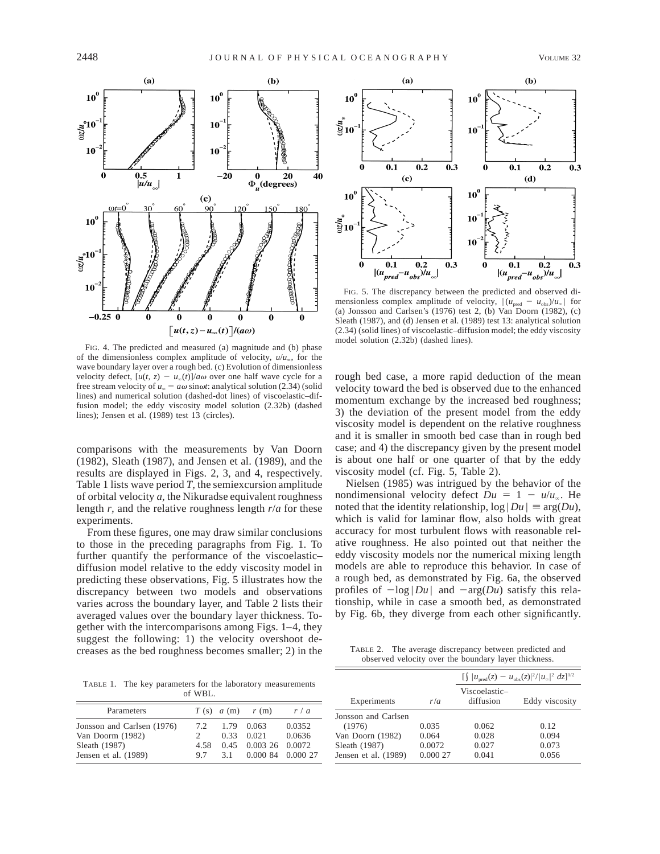

FIG. 4. The predicted and measured (a) magnitude and (b) phase of the dimensionless complex amplitude of velocity,  $u/u_{\infty}$ , for the wave boundary layer over a rough bed. (c) Evolution of dimensionless velocity defect,  $[u(t, z) - u_x(t)]/a\omega$  over one half wave cycle for a free stream velocity of  $u_\infty = a\omega \sin \omega t$ : analytical solution (2.34) (solid lines) and numerical solution (dashed-dot lines) of viscoelastic–diffusion model; the eddy viscosity model solution (2.32b) (dashed lines); Jensen et al. (1989) test 13 (circles).

comparisons with the measurements by Van Doorn (1982), Sleath (1987), and Jensen et al. (1989), and the results are displayed in Figs. 2, 3, and 4, respectively. Table 1 lists wave period *T,* the semiexcursion amplitude of orbital velocity *a,* the Nikuradse equivalent roughness length *r,* and the relative roughness length *r*/*a* for these experiments.

From these figures, one may draw similar conclusions to those in the preceding paragraphs from Fig. 1. To further quantify the performance of the viscoelastic– diffusion model relative to the eddy viscosity model in predicting these observations, Fig. 5 illustrates how the discrepancy between two models and observations varies across the boundary layer, and Table 2 lists their averaged values over the boundary layer thickness. Together with the intercomparisons among Figs. 1–4, they suggest the following: 1) the velocity overshoot decreases as the bed roughness becomes smaller; 2) in the

TABLE 1. The key parameters for the laboratory measurements of WBL.

| Parameters                                                                              |                                   |                     | $T(s)$ $a(m)$ $r(m)$                                          | r/a              |
|-----------------------------------------------------------------------------------------|-----------------------------------|---------------------|---------------------------------------------------------------|------------------|
| Jonsson and Carlsen (1976)<br>Van Doorm (1982)<br>Sleath (1987)<br>Jensen et al. (1989) | 7.2<br>$2^{\circ}$<br>4.58<br>9.7 | 1.79<br>0.33<br>3.1 | 0.063<br>0.021<br>$0.45$ 0.003 26 0.0072<br>0.000 84 0.000 27 | 0.0352<br>0.0636 |



FIG. 5. The discrepancy between the predicted and observed dimensionless complex amplitude of velocity,  $|(u_{\text{pred}} - u_{\text{obs}})/u_{\infty}|$  for (a) Jonsson and Carlsen's (1976) test 2, (b) Van Doorn (1982), (c) Sleath (1987), and (d) Jensen et al. (1989) test 13: analytical solution (2.34) (solid lines) of viscoelastic–diffusion model; the eddy viscosity model solution (2.32b) (dashed lines).

rough bed case, a more rapid deduction of the mean velocity toward the bed is observed due to the enhanced momentum exchange by the increased bed roughness; 3) the deviation of the present model from the eddy viscosity model is dependent on the relative roughness and it is smaller in smooth bed case than in rough bed case; and 4) the discrepancy given by the present model is about one half or one quarter of that by the eddy viscosity model (cf. Fig. 5, Table 2).

Nielsen (1985) was intrigued by the behavior of the nondimensional velocity defect  $Du = 1 - u/u$ . He noted that the identity relationship,  $log |Du| = arg(Du)$ , which is valid for laminar flow, also holds with great accuracy for most turbulent flows with reasonable relative roughness. He also pointed out that neither the eddy viscosity models nor the numerical mixing length models are able to reproduce this behavior. In case of a rough bed, as demonstrated by Fig. 6a, the observed profiles of  $-\log |Du|$  and  $-\arg(Du)$  satisfy this relationship, while in case a smooth bed, as demonstrated by Fig. 6b, they diverge from each other significantly.

TABLE 2. The average discrepancy between predicted and observed velocity over the boundary layer thickness.

|                      |          | $\int  u_{\text{pred}}(z) - u_{\text{obs}}(z) ^2 /  u_{\infty} ^2 dz]^{1/2}$ |                |  |  |
|----------------------|----------|------------------------------------------------------------------------------|----------------|--|--|
| Experiments          | r/a      | Viscoelastic-<br>diffusion                                                   | Eddy viscosity |  |  |
| Jonsson and Carlsen  |          |                                                                              |                |  |  |
| (1976)               | 0.035    | 0.062                                                                        | 0.12           |  |  |
| Van Doorn (1982)     | 0.064    | 0.028                                                                        | 0.094          |  |  |
| Sleath (1987)        | 0.0072   | 0.027                                                                        | 0.073          |  |  |
| Jensen et al. (1989) | 0.000 27 | 0.041                                                                        | 0.056          |  |  |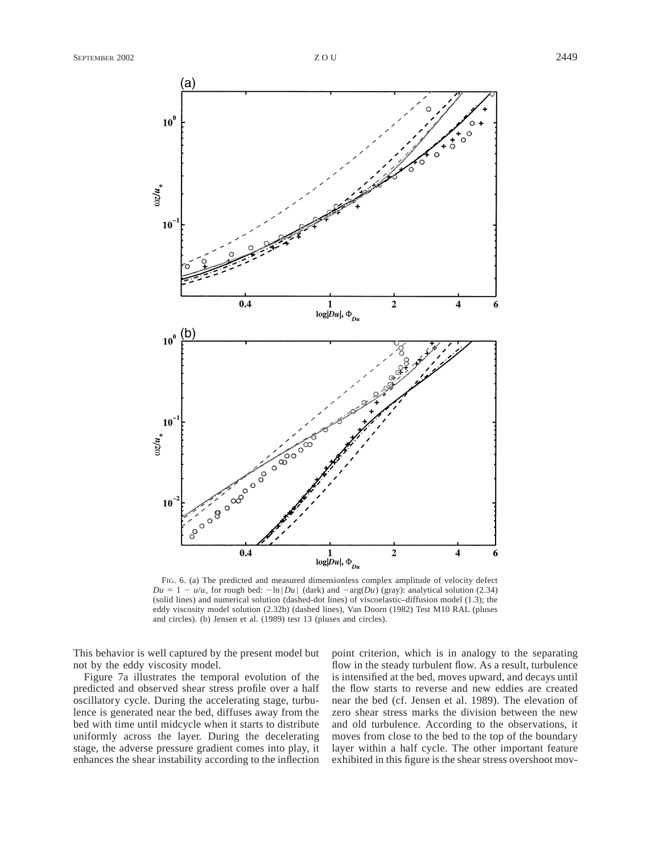

FIG. 6. (a) The predicted and measured dimensionless complex amplitude of velocity defect  $Du = 1 - u/u_{\infty}$  for rough bed:  $-\ln|Du|$  (dark) and  $-\arg(Du)$  (gray): analytical solution (2.34) (solid lines) and numerical solution (dashed-dot lines) of viscoelastic–diffusion model (1.3); the eddy viscosity model solution (2.32b) (dashed lines), Van Doorn (1982) Test M10 RAL (pluses and circles). (b) Jensen et al. (1989) test 13 (pluses and circles).

This behavior is well captured by the present model but not by the eddy viscosity model.

Figure 7a illustrates the temporal evolution of the predicted and observed shear stress profile over a half oscillatory cycle. During the accelerating stage, turbulence is generated near the bed, diffuses away from the bed with time until midcycle when it starts to distribute uniformly across the layer. During the decelerating stage, the adverse pressure gradient comes into play, it enhances the shear instability according to the inflection point criterion, which is in analogy to the separating flow in the steady turbulent flow. As a result, turbulence is intensified at the bed, moves upward, and decays until the flow starts to reverse and new eddies are created near the bed (cf. Jensen et al. 1989). The elevation of zero shear stress marks the division between the new and old turbulence. According to the observations, it moves from close to the bed to the top of the boundary layer within a half cycle. The other important feature exhibited in this figure is the shear stress overshoot mov-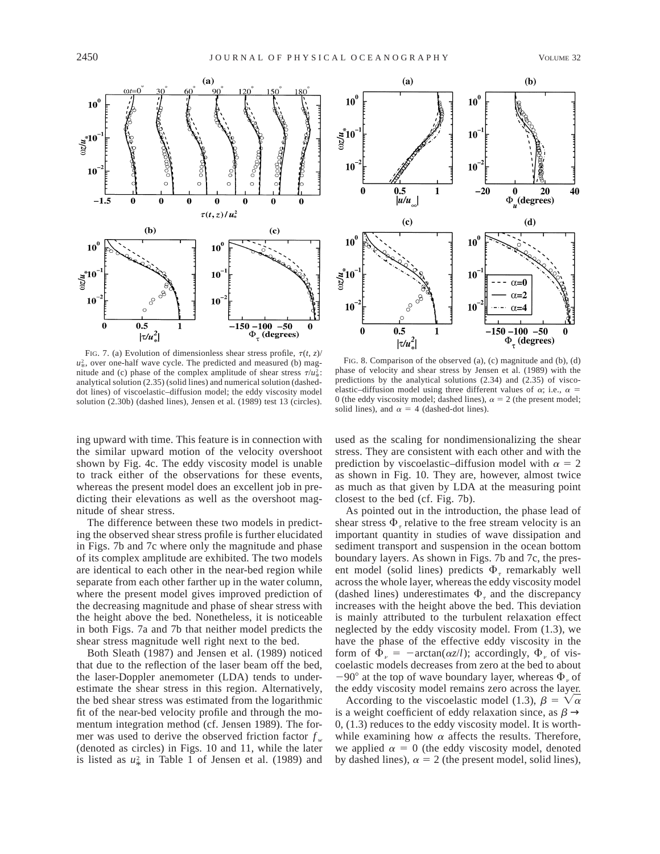

FIG. 7. (a) Evolution of dimensionless shear stress profile,  $\tau(t, z)$ /  $u^2_*$ , over one-half wave cycle. The predicted and measured (b) magnitude and (c) phase of the complex amplitude of shear stress  $\tau / u^2$ . analytical solution (2.35) (solid lines) and numerical solution (dasheddot lines) of viscoelastic–diffusion model; the eddy viscosity model solution (2.30b) (dashed lines), Jensen et al. (1989) test 13 (circles).



FIG. 8. Comparison of the observed (a), (c) magnitude and (b), (d) phase of velocity and shear stress by Jensen et al. (1989) with the predictions by the analytical solutions (2.34) and (2.35) of viscoelastic–diffusion model using three different values of  $\alpha$ ; i.e.,  $\alpha$  = 0 (the eddy viscosity model; dashed lines),  $\alpha = 2$  (the present model; solid lines), and  $\alpha = 4$  (dashed-dot lines).

ing upward with time. This feature is in connection with the similar upward motion of the velocity overshoot shown by Fig. 4c. The eddy viscosity model is unable to track either of the observations for these events, whereas the present model does an excellent job in predicting their elevations as well as the overshoot magnitude of shear stress.

The difference between these two models in predicting the observed shear stress profile is further elucidated in Figs. 7b and 7c where only the magnitude and phase of its complex amplitude are exhibited. The two models are identical to each other in the near-bed region while separate from each other farther up in the water column, where the present model gives improved prediction of the decreasing magnitude and phase of shear stress with the height above the bed. Nonetheless, it is noticeable in both Figs. 7a and 7b that neither model predicts the shear stress magnitude well right next to the bed.

Both Sleath (1987) and Jensen et al. (1989) noticed that due to the reflection of the laser beam off the bed, the laser-Doppler anemometer (LDA) tends to underestimate the shear stress in this region. Alternatively, the bed shear stress was estimated from the logarithmic fit of the near-bed velocity profile and through the momentum integration method (cf. Jensen 1989). The former was used to derive the observed friction factor *f <sup>w</sup>* (denoted as circles) in Figs. 10 and 11, while the later is listed as  $u^2$  in Table 1 of Jensen et al. (1989) and

used as the scaling for nondimensionalizing the shear stress. They are consistent with each other and with the prediction by viscoelastic–diffusion model with  $\alpha = 2$ as shown in Fig. 10. They are, however, almost twice as much as that given by LDA at the measuring point closest to the bed (cf. Fig. 7b).

As pointed out in the introduction, the phase lead of shear stress  $\Phi_{\tau}$  relative to the free stream velocity is an important quantity in studies of wave dissipation and sediment transport and suspension in the ocean bottom boundary layers. As shown in Figs. 7b and 7c, the present model (solid lines) predicts  $\Phi_{\tau}$  remarkably well across the whole layer, whereas the eddy viscosity model (dashed lines) underestimates  $\Phi$ <sub>r</sub> and the discrepancy increases with the height above the bed. This deviation is mainly attributed to the turbulent relaxation effect neglected by the eddy viscosity model. From (1.3), we have the phase of the effective eddy viscosity in the form of  $\bar{\Phi}_{\nu}$  =  $-\arctan(\alpha z/l)$ ; accordingly,  $\Phi_{\nu}$  of viscoelastic models decreases from zero at the bed to about  $-90^{\circ}$  at the top of wave boundary layer, whereas  $\Phi_{\nu}$  of the eddy viscosity model remains zero across the layer.

According to the viscoelastic model (1.3),  $\beta = \sqrt{\alpha}$ is a weight coefficient of eddy relaxation since, as  $\beta \rightarrow$ 0, (1.3) reduces to the eddy viscosity model. It is worthwhile examining how  $\alpha$  affects the results. Therefore, we applied  $\alpha = 0$  (the eddy viscosity model, denoted by dashed lines),  $\alpha = 2$  (the present model, solid lines),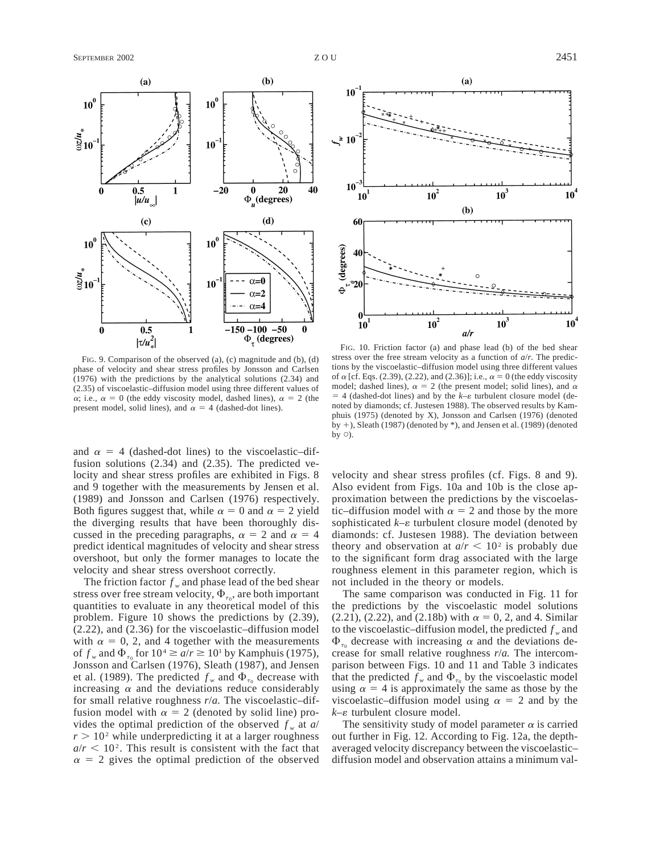

FIG. 9. Comparison of the observed (a), (c) magnitude and (b), (d) phase of velocity and shear stress profiles by Jonsson and Carlsen (1976) with the predictions by the analytical solutions (2.34) and (2.35) of viscoelastic–diffusion model using three different values of  $\alpha$ ; i.e.,  $\alpha = 0$  (the eddy viscosity model, dashed lines),  $\alpha = 2$  (the present model, solid lines), and  $\alpha = 4$  (dashed-dot lines).

and  $\alpha = 4$  (dashed-dot lines) to the viscoelastic–diffusion solutions (2.34) and (2.35). The predicted velocity and shear stress profiles are exhibited in Figs. 8 and 9 together with the measurements by Jensen et al. (1989) and Jonsson and Carlsen (1976) respectively. Both figures suggest that, while  $\alpha = 0$  and  $\alpha = 2$  yield the diverging results that have been thoroughly discussed in the preceding paragraphs,  $\alpha = 2$  and  $\alpha = 4$ predict identical magnitudes of velocity and shear stress overshoot, but only the former manages to locate the velocity and shear stress overshoot correctly.

The friction factor  $f_w$  and phase lead of the bed shear stress over free stream velocity,  $\Phi_{\tau_0}$ , are both important quantities to evaluate in any theoretical model of this problem. Figure 10 shows the predictions by (2.39), (2.22), and (2.36) for the viscoelastic–diffusion model with  $\alpha = 0, 2$ , and 4 together with the measurements of  $f_w$  and  $\Phi_{\tau_0}$  for  $10^4 \ge a/r \ge 10^1$  by Kamphuis (1975), Jonsson and Carlsen (1976), Sleath (1987), and Jensen et al. (1989). The predicted  $f_w$  and  $\Phi_{\tau_0}$  decrease with increasing  $\alpha$  and the deviations reduce considerably for small relative roughness *r*/*a.* The viscoelastic–diffusion model with  $\alpha = 2$  (denoted by solid line) provides the optimal prediction of the observed  $f_w$  at  $a/$  $r > 10<sup>2</sup>$  while underpredicting it at a larger roughness  $a/r < 10<sup>2</sup>$ . This result is consistent with the fact that  $\alpha = 2$  gives the optimal prediction of the observed



FIG. 10. Friction factor (a) and phase lead (b) of the bed shear stress over the free stream velocity as a function of *a*/*r.* The predictions by the viscoelastic–diffusion model using three different values of  $\alpha$  [cf. Eqs. (2.39), (2.22), and (2.36)]; i.e.,  $\alpha = 0$  (the eddy viscosity model; dashed lines),  $\alpha = 2$  (the present model; solid lines), and  $\alpha$  $=$  4 (dashed-dot lines) and by the  $k$ – $\varepsilon$  turbulent closure model (denoted by diamonds; cf. Justesen 1988). The observed results by Kamphuis (1975) (denoted by X), Jonsson and Carlsen (1976) (denoted by  $+$ ), Sleath (1987) (denoted by  $*$ ), and Jensen et al. (1989) (denoted by  $\circ$ ).

velocity and shear stress profiles (cf. Figs. 8 and 9). Also evident from Figs. 10a and 10b is the close approximation between the predictions by the viscoelastic–diffusion model with  $\alpha = 2$  and those by the more sophisticated  $k$ – $\varepsilon$  turbulent closure model (denoted by diamonds: cf. Justesen 1988). The deviation between theory and observation at  $a/r < 10^2$  is probably due to the significant form drag associated with the large roughness element in this parameter region, which is not included in the theory or models.

The same comparison was conducted in Fig. 11 for the predictions by the viscoelastic model solutions (2.21), (2.22), and (2.18b) with  $\alpha = 0, 2$ , and 4. Similar to the viscoelastic–diffusion model, the predicted  $f_w$  and  $\Phi_{\tau_0}$  decrease with increasing  $\alpha$  and the deviations decrease for small relative roughness *r*/*a.* The intercomparison between Figs. 10 and 11 and Table 3 indicates that the predicted  $f_w$  and  $\Phi_{\tau_0}$  by the viscoelastic model using  $\alpha = 4$  is approximately the same as those by the viscoelastic–diffusion model using  $\alpha = 2$  and by the  $k$ – $\varepsilon$  turbulent closure model.

The sensitivity study of model parameter  $\alpha$  is carried out further in Fig. 12. According to Fig. 12a, the depthaveraged velocity discrepancy between the viscoelastic– diffusion model and observation attains a minimum val-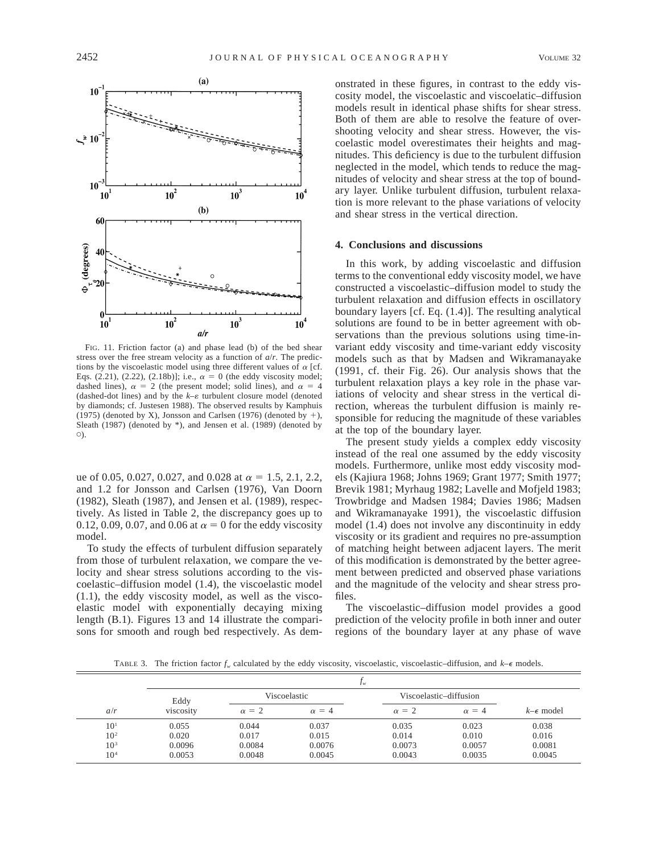

FIG. 11. Friction factor (a) and phase lead (b) of the bed shear stress over the free stream velocity as a function of *a*/*r.* The predictions by the viscoelastic model using three different values of  $\alpha$  [cf. Eqs. (2.21), (2.22), (2.18b)]; i.e.,  $\alpha = 0$  (the eddy viscosity model; dashed lines),  $\alpha = 2$  (the present model; solid lines), and  $\alpha = 4$ (dashed-dot lines) and by the  $k$ – $\varepsilon$  turbulent closure model (denoted by diamonds; cf. Justesen 1988). The observed results by Kamphuis (1975) (denoted by X), Jonsson and Carlsen (1976) (denoted by  $+$ ), Sleath (1987) (denoted by \*), and Jensen et al. (1989) (denoted by  $\circ$ ).

ue of 0.05, 0.027, 0.027, and 0.028 at  $\alpha = 1.5, 2.1, 2.2,$ and 1.2 for Jonsson and Carlsen (1976), Van Doorn (1982), Sleath (1987), and Jensen et al. (1989), respectively. As listed in Table 2, the discrepancy goes up to 0.12, 0.09, 0.07, and 0.06 at  $\alpha = 0$  for the eddy viscosity model.

To study the effects of turbulent diffusion separately from those of turbulent relaxation, we compare the velocity and shear stress solutions according to the viscoelastic–diffusion model (1.4), the viscoelastic model (1.1), the eddy viscosity model, as well as the viscoelastic model with exponentially decaying mixing length (B.1). Figures 13 and 14 illustrate the comparisons for smooth and rough bed respectively. As dem-

onstrated in these figures, in contrast to the eddy viscosity model, the viscoelastic and viscoelatic–diffusion models result in identical phase shifts for shear stress. Both of them are able to resolve the feature of overshooting velocity and shear stress. However, the viscoelastic model overestimates their heights and magnitudes. This deficiency is due to the turbulent diffusion neglected in the model, which tends to reduce the magnitudes of velocity and shear stress at the top of boundary layer. Unlike turbulent diffusion, turbulent relaxation is more relevant to the phase variations of velocity and shear stress in the vertical direction.

#### **4. Conclusions and discussions**

In this work, by adding viscoelastic and diffusion terms to the conventional eddy viscosity model, we have constructed a viscoelastic–diffusion model to study the turbulent relaxation and diffusion effects in oscillatory boundary layers [cf. Eq. (1.4)]. The resulting analytical solutions are found to be in better agreement with observations than the previous solutions using time-invariant eddy viscosity and time-variant eddy viscosity models such as that by Madsen and Wikramanayake (1991, cf. their Fig. 26). Our analysis shows that the turbulent relaxation plays a key role in the phase variations of velocity and shear stress in the vertical direction, whereas the turbulent diffusion is mainly responsible for reducing the magnitude of these variables at the top of the boundary layer.

The present study yields a complex eddy viscosity instead of the real one assumed by the eddy viscosity models. Furthermore, unlike most eddy viscosity models (Kajiura 1968; Johns 1969; Grant 1977; Smith 1977; Brevik 1981; Myrhaug 1982; Lavelle and Mofjeld 1983; Trowbridge and Madsen 1984; Davies 1986; Madsen and Wikramanayake 1991), the viscoelastic diffusion model (1.4) does not involve any discontinuity in eddy viscosity or its gradient and requires no pre-assumption of matching height between adjacent layers. The merit of this modification is demonstrated by the better agreement between predicted and observed phase variations and the magnitude of the velocity and shear stress profiles.

The viscoelastic–diffusion model provides a good prediction of the velocity profile in both inner and outer regions of the boundary layer at any phase of wave

TABLE 3. The friction factor  $f_w$  calculated by the eddy viscosity, viscoelastic, viscoelastic–diffusion, and  $k-\epsilon$  models.

|                 |           |              | J <sub>w</sub> |                        |              |                        |
|-----------------|-----------|--------------|----------------|------------------------|--------------|------------------------|
|                 | Eddy      | Viscoelastic |                | Viscoelastic-diffusion |              |                        |
| a/r             | viscosity | $\alpha = 2$ | $\alpha = 4$   | $\alpha = 2$           | $\alpha = 4$ | $k$ – $\epsilon$ model |
| $10^{1}$        | 0.055     | 0.044        | 0.037          | 0.035                  | 0.023        | 0.038                  |
| 10 <sup>2</sup> | 0.020     | 0.017        | 0.015          | 0.014                  | 0.010        | 0.016                  |
| 10 <sup>3</sup> | 0.0096    | 0.0084       | 0.0076         | 0.0073                 | 0.0057       | 0.0081                 |
| 10 <sup>4</sup> | 0.0053    | 0.0048       | 0.0045         | 0.0043                 | 0.0035       | 0.0045                 |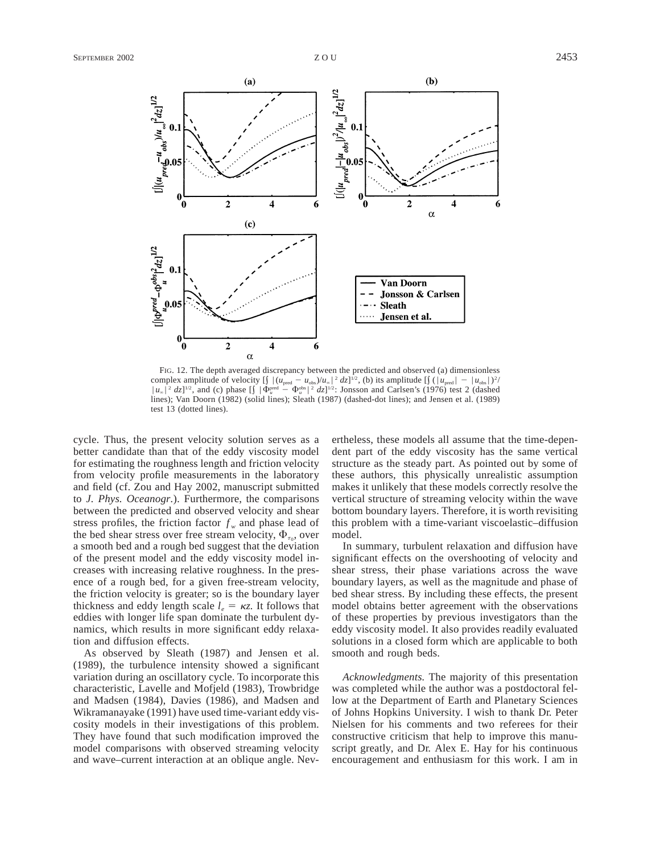

FIG. 12. The depth averaged discrepancy between the predicted and observed (a) dimensionless complex amplitude of velocity  $\left[\int |(u_{\text{pred}} - u_{\text{obs}})/u_{\infty}|^2 dz]\right]^{1/2}$ , (b) its amplitude  $\left[\int (|u_{\text{pred}}| - |u_{\text{obs}}|)^2 /$  $|u_\infty|^2 dz]^{1/2}$ , and (c) phase  $\left[\int |\Phi_u^{\text{pred}} - \Phi_u^{\text{obs}}|^2 dz\right]^{1/2}$ : Jonsson and Carlsen's (1976) test 2 (dashed lines); Van Doorn (1982) (solid lines); Sleath (1987) (dashed-dot lines); and Jensen et al. (1989) test 13 (dotted lines).

cycle. Thus, the present velocity solution serves as a better candidate than that of the eddy viscosity model for estimating the roughness length and friction velocity from velocity profile measurements in the laboratory and field (cf. Zou and Hay 2002, manuscript submitted to *J. Phys. Oceanogr.*). Furthermore, the comparisons between the predicted and observed velocity and shear stress profiles, the friction factor  $f_w$  and phase lead of the bed shear stress over free stream velocity,  $\Phi_{\tau_{\alpha}}$ , over a smooth bed and a rough bed suggest that the deviation of the present model and the eddy viscosity model increases with increasing relative roughness. In the presence of a rough bed, for a given free-stream velocity, the friction velocity is greater; so is the boundary layer thickness and eddy length scale  $l_e = \kappa z$ . It follows that eddies with longer life span dominate the turbulent dynamics, which results in more significant eddy relaxation and diffusion effects.

As observed by Sleath (1987) and Jensen et al. (1989), the turbulence intensity showed a significant variation during an oscillatory cycle. To incorporate this characteristic, Lavelle and Mofjeld (1983), Trowbridge and Madsen (1984), Davies (1986), and Madsen and Wikramanayake (1991) have used time-variant eddy viscosity models in their investigations of this problem. They have found that such modification improved the model comparisons with observed streaming velocity and wave–current interaction at an oblique angle. Nevertheless, these models all assume that the time-dependent part of the eddy viscosity has the same vertical structure as the steady part. As pointed out by some of these authors, this physically unrealistic assumption makes it unlikely that these models correctly resolve the vertical structure of streaming velocity within the wave bottom boundary layers. Therefore, it is worth revisiting this problem with a time-variant viscoelastic–diffusion model.

In summary, turbulent relaxation and diffusion have significant effects on the overshooting of velocity and shear stress, their phase variations across the wave boundary layers, as well as the magnitude and phase of bed shear stress. By including these effects, the present model obtains better agreement with the observations of these properties by previous investigators than the eddy viscosity model. It also provides readily evaluated solutions in a closed form which are applicable to both smooth and rough beds.

*Acknowledgments.* The majority of this presentation was completed while the author was a postdoctoral fellow at the Department of Earth and Planetary Sciences of Johns Hopkins University. I wish to thank Dr. Peter Nielsen for his comments and two referees for their constructive criticism that help to improve this manuscript greatly, and Dr. Alex E. Hay for his continuous encouragement and enthusiasm for this work. I am in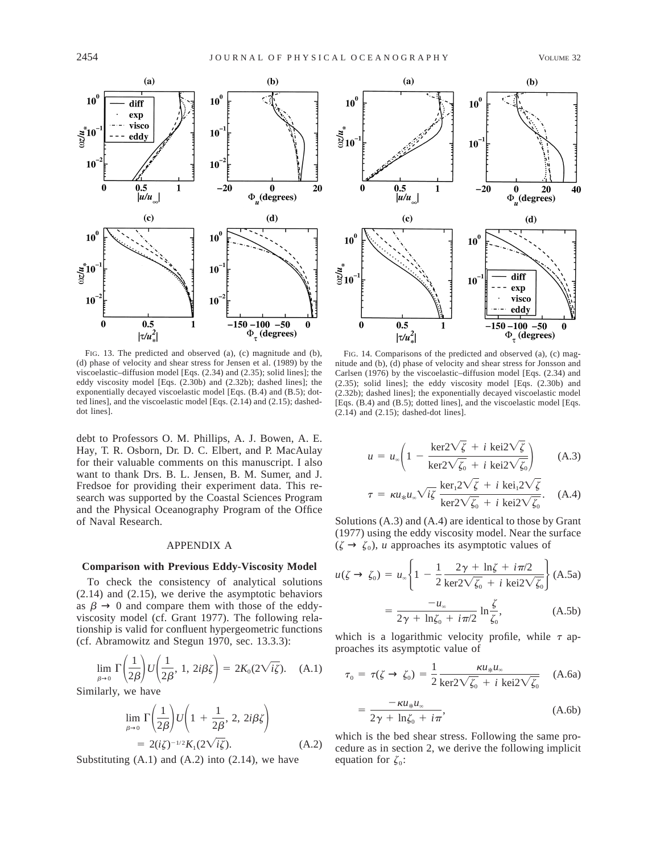

FIG. 13. The predicted and observed (a), (c) magnitude and (b), (d) phase of velocity and shear stress for Jensen et al. (1989) by the viscoelastic–diffusion model [Eqs. (2.34) and (2.35); solid lines]; the eddy viscosity model [Eqs. (2.30b) and (2.32b); dashed lines]; the exponentially decayed viscoelastic model [Eqs. (B.4) and (B.5); dotted lines], and the viscoelastic model [Eqs. (2.14) and (2.15); dasheddot lines].

debt to Professors O. M. Phillips, A. J. Bowen, A. E. Hay, T. R. Osborn, Dr. D. C. Elbert, and P. MacAulay for their valuable comments on this manuscript. I also want to thank Drs. B. L. Jensen, B. M. Sumer, and J. Fredsoe for providing their experiment data. This research was supported by the Coastal Sciences Program and the Physical Oceanography Program of the Office of Naval Research.

#### APPENDIX A

#### **Comparison with Previous Eddy-Viscosity Model**

To check the consistency of analytical solutions (2.14) and (2.15), we derive the asymptotic behaviors as  $\beta \rightarrow 0$  and compare them with those of the eddyviscosity model (cf. Grant 1977). The following relationship is valid for confluent hypergeometric functions (cf. Abramowitz and Stegun 1970, sec. 13.3.3):

$$
\lim_{\beta \to 0} \Gamma\left(\frac{1}{2\beta}\right) U\left(\frac{1}{2\beta}, 1, 2i\beta\zeta\right) = 2K_0(2\sqrt{i\zeta}). \quad (A.1)
$$

Similarly, we have

$$
\lim_{\beta \to 0} \Gamma\left(\frac{1}{2\beta}\right) U\left(1 + \frac{1}{2\beta}, 2, 2i\beta\xi\right)
$$
  
= 2(i\zeta)^{-1/2} K\_1(2\sqrt{i\zeta}). (A.2)

Substituting  $(A.1)$  and  $(A.2)$  into  $(2.14)$ , we have



FIG. 14. Comparisons of the predicted and observed (a), (c) magnitude and (b), (d) phase of velocity and shear stress for Jonsson and Carlsen (1976) by the viscoelastic–diffusion model [Eqs. (2.34) and (2.35); solid lines]; the eddy viscosity model [Eqs. (2.30b) and (2.32b); dashed lines]; the exponentially decayed viscoelastic model [Eqs. (B.4) and (B.5); dotted lines], and the viscoelastic model [Eqs. (2.14) and (2.15); dashed-dot lines].

$$
u = u_{\infty} \left( 1 - \frac{\ker 2\sqrt{\zeta} + i \operatorname{kei2}\sqrt{\zeta}}{\ker 2\sqrt{\zeta_0} + i \operatorname{kei2}\sqrt{\zeta_0}} \right) \tag{A.3}
$$

$$
\tau = \kappa u_* u_* \sqrt{i\zeta} \frac{\ker_1 2\sqrt{\zeta} + i \operatorname{kei}_1 2\sqrt{\zeta}}{\ker 2\sqrt{\zeta_0} + i \operatorname{kei} 2\sqrt{\zeta_0}}. \quad \text{(A.4)}
$$

Solutions (A.3) and (A.4) are identical to those by Grant (1977) using the eddy viscosity model. Near the surface  $(\zeta \to \zeta_0)$ , *u* approaches its asymptotic values of

$$
u(\zeta \to \zeta_0) = u_{\infty} \left\{ 1 - \frac{1}{2} \frac{2\gamma + \ln \zeta + i\pi/2}{\ker 2\sqrt{\zeta_0} + i \operatorname{kei2}\sqrt{\zeta_0}} \right\} (A.5a)
$$

$$
= \frac{-u_{\infty}}{2\gamma + \ln \zeta_0 + i\pi/2} \ln \frac{\zeta}{\zeta_0}, \tag{A.5b}
$$

which is a logarithmic velocity profile, while  $\tau$  approaches its asymptotic value of

$$
\tau_0 = \tau(\zeta \to \zeta_0) = \frac{1}{2} \frac{\kappa u_* u_*}{\ker 2\sqrt{\zeta_0} + i \ker 2\sqrt{\zeta_0}} \quad \text{(A.6a)}
$$

$$
=\frac{-\kappa u_* u_*}{2\gamma + \ln \zeta_0 + i\pi},\tag{A.6b}
$$

which is the bed shear stress. Following the same procedure as in section 2, we derive the following implicit equation for  $\zeta_0$ :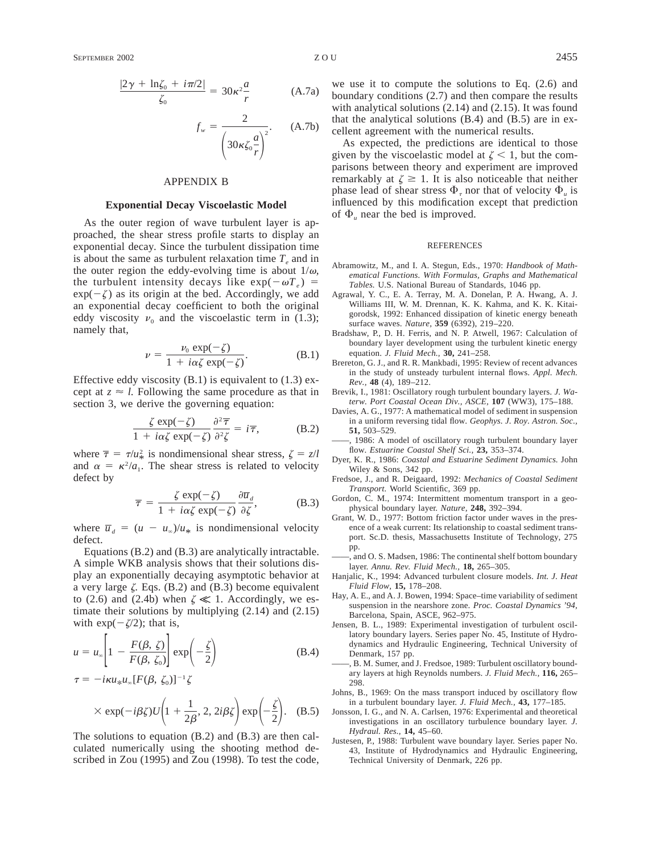#### APPENDIX B

#### **Exponential Decay Viscoelastic Model**

As the outer region of wave turbulent layer is approached, the shear stress profile starts to display an exponential decay. Since the turbulent dissipation time is about the same as turbulent relaxation time  $T_{e}$  and in the outer region the eddy-evolving time is about  $1/\omega$ , the turbulent intensity decays like  $\exp(-\omega T_e)$  =  $exp(-\zeta)$  as its origin at the bed. Accordingly, we add an exponential decay coefficient to both the original eddy viscosity  $v_0$  and the viscoelastic term in (1.3); namely that,

$$
\nu = \frac{\nu_0 \exp(-\zeta)}{1 + i\alpha \zeta \exp(-\zeta)}.
$$
 (B.1)

Effective eddy viscosity  $(B.1)$  is equivalent to  $(1.3)$  except at  $z \approx l$ . Following the same procedure as that in section 3, we derive the governing equation:

$$
\frac{\zeta \exp(-\zeta)}{1 + i\alpha\zeta \exp(-\zeta)} \frac{\partial^2 \overline{\tau}}{\partial^2 \zeta} = i\overline{\tau},
$$
 (B.2)

where  $\bar{\tau} = \tau / u_*^2$  is nondimensional shear stress,  $\zeta = z/l$ and  $\alpha = \kappa^2/a_1$ . The shear stress is related to velocity defect by

$$
\overline{\tau} = \frac{\zeta \exp(-\zeta)}{1 + i\alpha\zeta \exp(-\zeta)} \frac{\partial \overline{u}_d}{\partial \zeta},
$$
 (B.3)

where  $\overline{u}_d = (u - u_\infty)/u_*$  is nondimensional velocity defect.

Equations (B.2) and (B.3) are analytically intractable. A simple WKB analysis shows that their solutions display an exponentially decaying asymptotic behavior at a very large  $\zeta$ . Eqs. (B.2) and (B.3) become equivalent to (2.6) and (2.4b) when  $\zeta \ll 1$ . Accordingly, we estimate their solutions by multiplying (2.14) and (2.15) with  $\exp(-\zeta/2)$ ; that is,

$$
u = u_{\infty} \left[ 1 - \frac{F(\beta, \zeta)}{F(\beta, \zeta_0)} \right] \exp\left(-\frac{\zeta}{2}\right)
$$
 (B.4)

 $\tau = -i\kappa u_* u_* [F(\beta, \zeta_0)]^{-1} \zeta$ 

$$
\times \exp(-i\beta \zeta)U\left(1+\frac{1}{2\beta}, 2, 2i\beta \zeta\right)\exp\left(-\frac{\zeta}{2}\right).
$$
 (B.5)

The solutions to equation (B.2) and (B.3) are then calculated numerically using the shooting method described in Zou (1995) and Zou (1998). To test the code, boundary conditions (2.7) and then compare the results with analytical solutions (2.14) and (2.15). It was found that the analytical solutions (B.4) and (B.5) are in excellent agreement with the numerical results.

As expected, the predictions are identical to those given by the viscoelastic model at  $\zeta$  < 1, but the comparisons between theory and experiment are improved remarkably at  $\zeta \geq 1$ . It is also noticeable that neither phase lead of shear stress  $\Phi_{\tau}$  nor that of velocity  $\Phi_{\mu}$  is influenced by this modification except that prediction of  $\Phi$ <sub>*u*</sub> near the bed is improved.

#### REFERENCES

- Abramowitz, M., and I. A. Stegun, Eds., 1970: *Handbook of Mathematical Functions. With Formulas, Graphs and Mathematical Tables.* U.S. National Bureau of Standards, 1046 pp.
- Agrawal, Y. C., E. A. Terray, M. A. Donelan, P. A. Hwang, A. J. Williams III, W. M. Drennan, K. K. Kahma, and K. K. Kitaigorodsk, 1992: Enhanced dissipation of kinetic energy beneath surface waves. *Nature,* **359** (6392), 219–220.
- Bradshaw, P., D. H. Ferris, and N. P. Atwell, 1967: Calculation of boundary layer development using the turbulent kinetic energy equation. *J. Fluid Mech.,* **30,** 241–258.
- Brereton, G. J., and R. R. Mankbadi, 1995: Review of recent advances in the study of unsteady turbulent internal flows. *Appl. Mech. Rev.,* **48** (4), 189–212.
- Brevik, I., 1981: Oscillatory rough turbulent boundary layers. *J. Waterw. Port Coastal Ocean Div., ASCE,* **107** (WW3), 175–188.
- Davies, A. G., 1977: A mathematical model of sediment in suspension in a uniform reversing tidal flow. *Geophys. J. Roy. Astron. Soc.,* **51,** 503–529.
- ——, 1986: A model of oscillatory rough turbulent boundary layer flow. *Estuarine Coastal Shelf Sci.,* **23,** 353–374.
- Dyer, K. R., 1986: *Coastal and Estuarine Sediment Dynamics.* John Wiley & Sons, 342 pp.
- Fredsoe, J., and R. Deigaard, 1992: *Mechanics of Coastal Sediment Transport.* World Scientific, 369 pp.
- Gordon, C. M., 1974: Intermittent momentum transport in a geophysical boundary layer. *Nature,* **248,** 392–394.
- Grant, W. D., 1977: Bottom friction factor under waves in the presence of a weak current: Its relationship to coastal sediment transport. Sc.D. thesis, Massachusetts Institute of Technology, 275 pp.
- , and O. S. Madsen, 1986: The continental shelf bottom boundary layer. *Annu. Rev. Fluid Mech.,* **18,** 265–305.
- Hanjalic, K., 1994: Advanced turbulent closure models. *Int. J. Heat Fluid Flow,* **15,** 178–208.
- Hay, A. E., and A. J. Bowen, 1994: Space–time variability of sediment suspension in the nearshore zone. *Proc. Coastal Dynamics '94,* Barcelona, Spain, ASCE, 962–975.
- Jensen, B. L., 1989: Experimental investigation of turbulent oscillatory boundary layers. Series paper No. 45, Institute of Hydrodynamics and Hydraulic Engineering, Technical University of Denmark, 157 pp.
- ——, B. M. Sumer, and J. Fredsoe, 1989: Turbulent oscillatory boundary layers at high Reynolds numbers. *J. Fluid Mech.,* **116,** 265– 298.
- Johns, B., 1969: On the mass transport induced by oscillatory flow in a turbulent boundary layer. *J. Fluid Mech.,* **43,** 177–185.
- Jonsson, I. G., and N. A. Carlsen, 1976: Experimental and theoretical investigations in an oscillatory turbulence boundary layer. *J. Hydraul. Res.,* **14,** 45–60.
- Justesen, P., 1988: Turbulent wave boundary layer. Series paper No. 43, Institute of Hydrodynamics and Hydraulic Engineering, Technical University of Denmark, 226 pp.